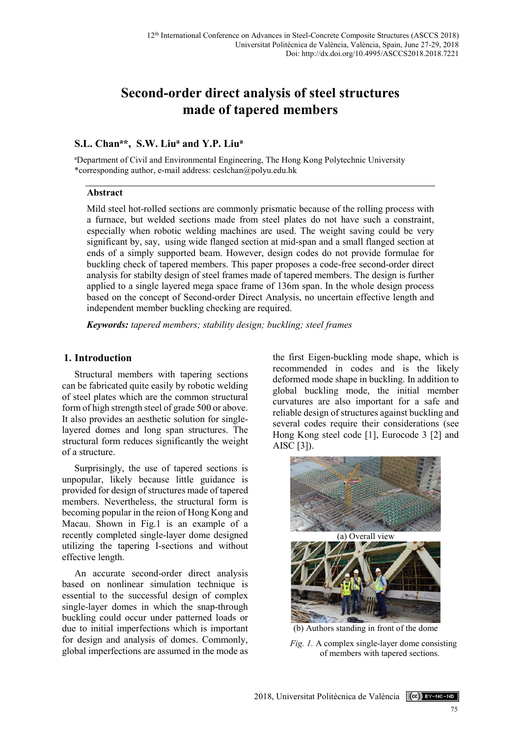# **Second-order direct analysis of steel structures made of tapered members**

# **S.L. Chana\*, S.W. Liua and Y.P. Liua**

a Department of Civil and Environmental Engineering, The Hong Kong Polytechnic University \*corresponding author, e-mail address: ceslchan@polyu.edu.hk

## **Abstract**

Mild steel hot-rolled sections are commonly prismatic because of the rolling process with a furnace, but welded sections made from steel plates do not have such a constraint, especially when robotic welding machines are used. The weight saving could be very significant by, say, using wide flanged section at mid-span and a small flanged section at ends of a simply supported beam. However, design codes do not provide formulae for buckling check of tapered members. This paper proposes a code-free second-order direct analysis for stabilty design of steel frames made of tapered members. The design is further applied to a single layered mega space frame of 136m span. In the whole design process based on the concept of Second-order Direct Analysis, no uncertain effective length and independent member buckling checking are required.

*Keywords: tapered members; stability design; buckling; steel frames*

# **1. Introduction**

Structural members with tapering sections can be fabricated quite easily by robotic welding of steel plates which are the common structural form of high strength steel of grade 500 or above. It also provides an aesthetic solution for singlelayered domes and long span structures. The structural form reduces significantly the weight of a structure.

Surprisingly, the use of tapered sections is unpopular, likely because little guidance is provided for design of structures made of tapered members. Nevertheless, the structural form is becoming popular in the reion of Hong Kong and Macau. Shown in Fig.1 is an example of a recently completed single-layer dome designed utilizing the tapering I-sections and without effective length.

An accurate second-order direct analysis based on nonlinear simulation technique is essential to the successful design of complex single-layer domes in which the snap-through buckling could occur under patterned loads or due to initial imperfections which is important for design and analysis of domes. Commonly, global imperfections are assumed in the mode as the first Eigen-buckling mode shape, which is recommended in codes and is the likely deformed mode shape in buckling. In addition to global buckling mode, the initial member curvatures are also important for a safe and reliable design of structures against buckling and several codes require their considerations (see Hong Kong steel code [1], Eurocode 3 [2] and AISC [3]).



(b) Authors standing in front of the dome

*Fig. 1.* A complex single-layer dome consisting of members with tapered sections.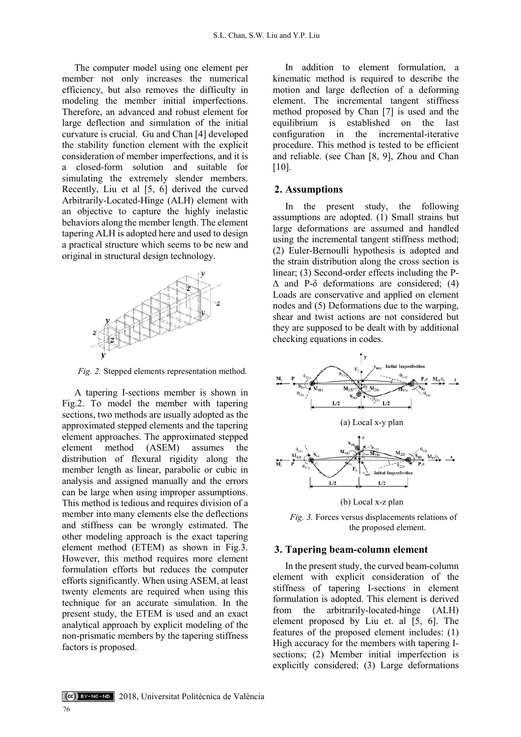The computer model using one element per member not only increases the numerical efficiency, but also removes the difficulty in modeling the member initial imperfections. Therefore, an advanced and robust element for large deflection and simulation of the initial curvature is crucial. Gu and Chan [4] developed the stability function element with the explicit consideration of member imperfections, and it is a closed-form solution and suitable for simulating the extremely slender members. Recently, Liu et al [5, 6] derived the curved Arbitrarily-Located-Hinge (ALH) element with an objective to capture the highly inelastic behaviors along the member length. The element tapering ALH is adopted here and used to design a practical structure which seems to be new and original in structural design technology.



*Fig. 2.* Stepped elements representation method.

A tapering I-sections member is shown in Fig.2. To model the member with tapering sections, two methods are usually adopted as the approximated stepped elements and the tapering element approaches. The approximated stepped element method (ASEM) assumes the distribution of flexural rigidity along the member length as linear, parabolic or cubic in analysis and assigned manually and the errors can be large when using improper assumptions. This method is tedious and requires division of a member into many elements else the deflections and stiffness can be wrongly estimated. The other modeling approach is the exact tapering element method (ETEM) as shown in Fig.3. However, this method requires more element formulation efforts but reduces the computer efforts significantly. When using ASEM, at least twenty elements are required when using this technique for an accurate simulation. In the present study, the ETEM is used and an exact analytical approach by explicit modeling of the non-prismatic members by the tapering stiffness factors is proposed.

In addition to element formulation, a kinematic method is required to describe the motion and large deflection of a deforming element. The incremental tangent stiffness method proposed by Chan [7] is used and the equilibrium is established on the last configuration in the incremental-iterative procedure. This method is tested to be efficient and reliable. (see Chan [8, 9], Zhou and Chan [10].

## **2. Assumptions**

In the present study, the following assumptions are adopted. (1) Small strains but large deformations are assumed and handled using the incremental tangent stiffness method; (2) Euler-Bernoulli hypothesis is adopted and the strain distribution along the cross section is linear; (3) Second-order effects including the P- ∆ and P-δ deformations are considered; (4) Loads are conservative and applied on element nodes and (5) Deformations due to the warping, shear and twist actions are not considered but they are supposed to be dealt with by additional checking equations in codes.



(b) Local x-z plan

*Fig. 3.* Forces versus displacements relations of the proposed element.

#### **3. Tapering beam-column element**

In the present study, the curved beam-column element with explicit consideration of the stiffness of tapering I-sections in element formulation is adopted. This element is derived from the arbitrarily-located-hinge (ALH) element proposed by Liu et. al [5, 6]. The features of the proposed element includes: (1) High accuracy for the members with tapering Isections; (2) Member initial imperfection is explicitly considered; (3) Large deformations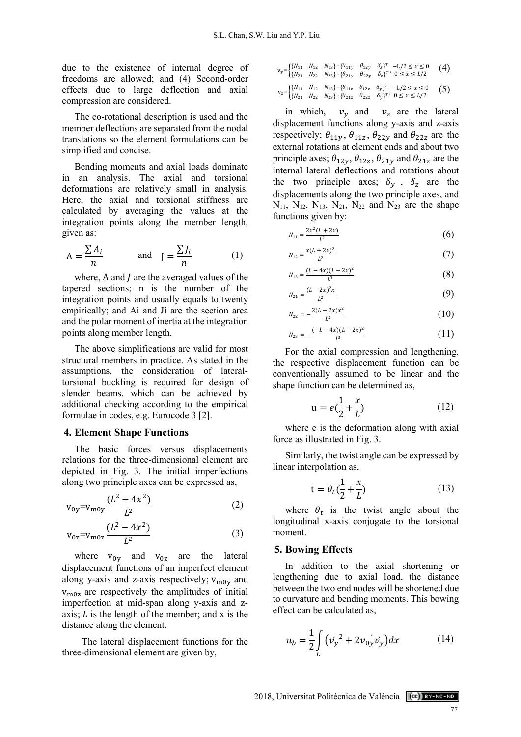due to the existence of internal degree of freedoms are allowed; and (4) Second-order effects due to large deflection and axial compression are considered.

The co-rotational description is used and the member deflections are separated from the nodal translations so the element formulations can be simplified and concise.

Bending moments and axial loads dominate in an analysis. The axial and torsional deformations are relatively small in analysis. Here, the axial and torsional stiffness are calculated by averaging the values at the integration points along the member length, given as:

$$
A = \frac{\sum A_i}{n} \quad \text{and} \quad J = \frac{\sum J_i}{n} \quad (1)
$$

where,  $A$  and  $I$  are the averaged values of the tapered sections; n is the number of the integration points and usually equals to twenty empirically; and Ai and Ji are the section area and the polar moment of inertia at the integration points along member length.

The above simplifications are valid for most structural members in practice. As stated in the assumptions, the consideration of lateraltorsional buckling is required for design of slender beams, which can be achieved by additional checking according to the empirical formulae in codes, e.g. Eurocode 3 [2].

#### **4. Element Shape Functions**

The basic forces versus displacements relations for the three-dimensional element are depicted in Fig. 3. The initial imperfections along two principle axes can be expressed as,

$$
v_{0y} = v_{\text{m0y}} \frac{(L^2 - 4x^2)}{L^2} \tag{2}
$$

$$
v_{0z} = v_{m0z} \frac{(L^2 - 4x^2)}{L^2}
$$
 (3)

where  $v_{0y}$  and  $v_{0z}$  are the lateral displacement functions of an imperfect element along y-axis and z-axis respectively;  $v_{\text{m0y}}$  and vm0z are respectively the amplitudes of initial imperfection at mid-span along y-axis and zaxis;  $L$  is the length of the member; and x is the distance along the element.

The lateral displacement functions for the three-dimensional element are given by,

$$
v_y = \begin{cases} \{N_{11} & N_{12} & N_{13}\} \cdot \{\theta_{11y} & \theta_{12y} & \delta_z\}^T & -L/2 \le x \le 0 \\ \{N_{21} & N_{22} & N_{23}\} \cdot \{\theta_{21y} & \theta_{22y} & \delta_z\}^T \cdot 0 \le x \le L/2 \end{cases} (4)
$$
  

$$
v_z = \begin{cases} \{N_{11} & N_{12} & N_{13}\} \cdot \{\theta_{11z} & \theta_{12z} & \delta_y\}^T & -L/2 \le x \le 0 \\ \{N_{21} & N_{22} & N_{23}\} \cdot \{\theta_{21z} & \theta_{22z} & \delta_y\}^T \cdot 0 \le x \le L/2 \end{cases} (5)
$$

in which,  $v_y$  and  $v_z$  are the lateral displacement functions along y-axis and z-axis respectively;  $\theta_{11y}$ ,  $\theta_{11z}$ ,  $\theta_{22y}$  and  $\theta_{22z}$  are the external rotations at element ends and about two principle axes;  $\theta_{12y}$ ,  $\theta_{12z}$ ,  $\theta_{21y}$  and  $\theta_{21z}$  are the internal lateral deflections and rotations about the two principle axes;  $\delta_y$ ,  $\delta_z$  are the displacements along the two principle axes, and  $N_{11}$ ,  $N_{12}$ ,  $N_{13}$ ,  $N_{21}$ ,  $N_{22}$  and  $N_{23}$  are the shape functions given by:

$$
N_{11} = \frac{2x^2(L+2x)}{L^2} \tag{6}
$$

$$
N_{12} = \frac{x(L + 2x)^2}{L^2} \tag{7}
$$

$$
N_{13} = \frac{(L - 4x)(L + 2x)^2}{L^3} \tag{8}
$$

$$
N_{21} = \frac{(L - 2x)^2 x}{L^2}
$$
 (9)

$$
N_{22} = -\frac{2(L - 2x)x^2}{L^2} \tag{10}
$$

$$
N_{23} = -\frac{(-L - 4x)(L - 2x)^2}{L^3} \tag{11}
$$

For the axial compression and lengthening, the respective displacement function can be conventionally assumed to be linear and the shape function can be determined as,

$$
u = e(\frac{1}{2} + \frac{x}{L})
$$
 (12)

where e is the deformation along with axial force as illustrated in Fig. 3.

Similarly, the twist angle can be expressed by linear interpolation as,

$$
t = \theta_t \left(\frac{1}{2} + \frac{x}{L}\right) \tag{13}
$$

where  $\theta_t$  is the twist angle about the longitudinal x-axis conjugate to the torsional moment.

#### **5. Bowing Effects**

In addition to the axial shortening or lengthening due to axial load, the distance between the two end nodes will be shortened due to curvature and bending moments. This bowing effect can be calculated as,

$$
u_b = \frac{1}{2} \int\limits_L \left( \dot{v_y}^2 + 2v_{0y} \dot{v_y} \right) dx \tag{14}
$$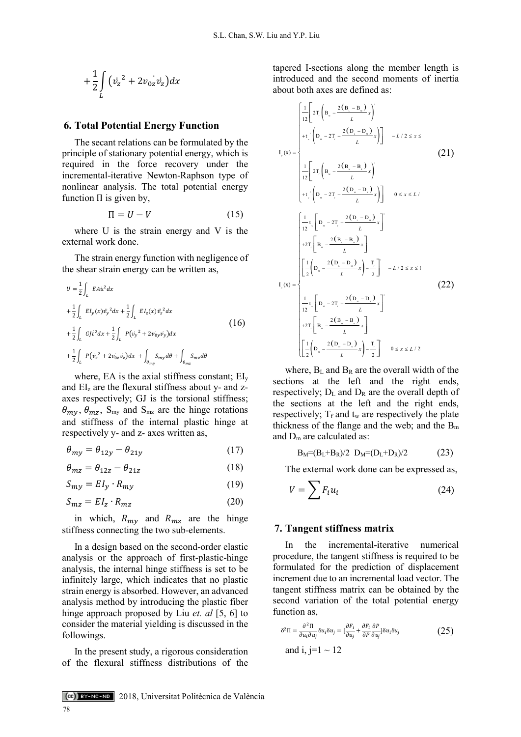$$
+\frac{1}{2}\int\limits_L \big(v_z^2+2v_{0z}v_z\big)dx
$$

#### **6. Total Potential Energy Function**

The secant relations can be formulated by the principle of stationary potential energy, which is required in the force recovery under the incremental-iterative Newton-Raphson type of nonlinear analysis. The total potential energy function  $\Pi$  is given by,

$$
\Pi = U - V \tag{15}
$$

where U is the strain energy and V is the external work done.

The strain energy function with negligence of the shear strain energy can be written as,

$$
U = \frac{1}{2} \int_{L} E A u^{2} dx
$$
  
+  $\frac{1}{2} \int_{L} E I_{y}(x) v_{y}^{2} dx + \frac{1}{2} \int_{L} E I_{z}(x) v_{z}^{2} dx$   
+  $\frac{1}{2} \int_{L} G J t^{2} dx + \frac{1}{2} \int_{L} P (v_{y}^{2} + 2 v_{0y} v_{y}) dx$   
+  $\frac{1}{2} \int_{L} P (v_{z}^{2} + 2 v_{0z} v_{z}) dx + \int_{\theta_{my}} S_{my} d\theta + \int_{\theta_{mx}} S_{mz} d\theta$  (16)

where, EA is the axial stiffness constant; EI<sub>v</sub> and  $EI<sub>z</sub>$  are the flexural stiffness about y- and zaxes respectively; GJ is the torsional stiffness;  $\theta_{m\chi}, \theta_{m\chi}, S_{\text{my}}$  and  $S_{\text{mz}}$  are the hinge rotations and stiffness of the internal plastic hinge at respectively y- and z- axes written as,

$$
\theta_{my} = \theta_{12y} - \theta_{21y} \tag{17}
$$

$$
\theta_{mz} = \theta_{12z} - \theta_{21z} \tag{18}
$$

$$
S_{my} = EI_y \cdot R_{my} \tag{19}
$$

$$
S_{mz} = EI_z \cdot R_{mz} \tag{20}
$$

in which,  $R_{my}$  and  $R_{mz}$  are the hinge stiffness connecting the two sub-elements.

In a design based on the second-order elastic analysis or the approach of first-plastic-hinge analysis, the internal hinge stiffness is set to be infinitely large, which indicates that no plastic strain energy is absorbed. However, an advanced analysis method by introducing the plastic fiber hinge approach proposed by Liu *et. al* [5, 6] to consider the material yielding is discussed in the followings.

In the present study, a rigorous consideration of the flexural stiffness distributions of the tapered I-sections along the member length is introduced and the second moments of inertia about both axes are defined as:

$$
I_{y}(x) = \begin{cases}\n\frac{1}{12} \left[ 2T_{y} \left( B_{u} - \frac{2(B_{u} - B_{u})}{L} x \right) \right] & -L/2 \leq x \leq 1 \\
+ t_{v} \left( D_{u} - 2T_{v} - \frac{2(D_{u} - D_{u})}{L} x \right) & -L/2 \leq x \leq 1 \\
\frac{1}{12} \left[ 2T_{v} \left( B_{u} - \frac{2(B_{u} - B_{u})}{L} x \right) \right] & 0 \leq x \leq L/1\n\end{cases}
$$
\n
$$
\begin{cases}\n\frac{1}{12} \left[ T_{v} \left( D_{u} - 2T_{v} - \frac{2(D_{u} - D_{u})}{L} x \right) \right] & 0 \leq x \leq L/1\n\end{cases}
$$
\n
$$
+ 2T_{v} \left[ B_{u} - \frac{2(B_{v} - B_{u})}{L} x \right] - \frac{T}{2} \left[ -L/2 \leq x \leq 1\n\end{cases}
$$
\n
$$
I_{z}(x) = \begin{cases}\n\frac{1}{2} \left( D_{u} - \frac{2(D_{u} - D_{u})}{L} x \right) - \frac{T}{2} \right] & -L/2 \leq x \leq 1 \\
\frac{1}{2} \left[ D_{u} - 2T_{v} - \frac{2(D_{u} - D_{u})}{L} x \right] & -L/2 \leq x \leq 1\n\end{cases}
$$
\n
$$
+ 2T_{v} \left[ B_{u} - \frac{2(B_{u} - B_{u})}{L} x \right]
$$
\n
$$
\begin{bmatrix}\n\frac{1}{2} \left( D_{u} - \frac{2(D_{u} - D_{u})}{L} x \right) - \frac{T}{2} \right] & 0 \leq x \leq L/2\n\end{bmatrix}
$$

where,  $B_L$  and  $B_R$  are the overall width of the sections at the left and the right ends, respectively;  $D_L$  and  $D_R$  are the overall depth of the sections at the left and the right ends, respectively;  $T_f$  and  $t_w$  are respectively the plate thickness of the flange and the web; and the  $B<sub>m</sub>$ and Dm are calculated as:

$$
B_M = (B_L + B_R)/2 \ D_M = (D_L + D_R)/2 \qquad (23)
$$

The external work done can be expressed as,

$$
V = \sum F_i u_i \tag{24}
$$

#### **7. Tangent stiffness matrix**

In the incremental-iterative numerical procedure, the tangent stiffness is required to be formulated for the prediction of displacement increment due to an incremental load vector. The tangent stiffness matrix can be obtained by the second variation of the total potential energy function as,

$$
\delta^2 \Pi = \frac{\partial^2 \Pi}{\partial u_i \partial u_j} \delta u_i \delta u_j = [\frac{\partial F_i}{\partial u_j} + \frac{\partial F_i}{\partial P} \frac{\partial P}{\partial u_j}] \delta u_i \delta u_j
$$
\nand i, j=1 ~ 12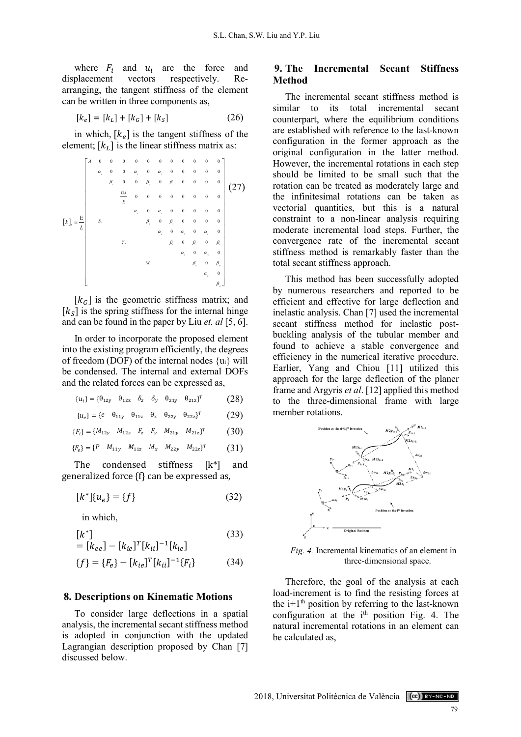where  $F_i$  and  $u_i$  are the force and<br>displacement vectors respectively. Rerespectively. arranging, the tangent stiffness of the element can be written in three components as,

$$
[k_e] = [k_L] + [k_G] + [k_S]
$$
 (26)

in which,  $[k_e]$  is the tangent stiffness of the element;  $[k_L]$  is the linear stiffness matrix as:

|                                     | $\boldsymbol{A}$ | $\boldsymbol{0}$    | $\boldsymbol{0}$                  | $\boldsymbol{0}$             | $\boldsymbol{0}$                    | $\boldsymbol{0}$               | $\boldsymbol{0}$    | $\boldsymbol{0}$                   | $\boldsymbol{0}$    | $\bf{0}$               | $\boldsymbol{0}$    | $\mathbf{0}$     |     |
|-------------------------------------|------------------|---------------------|-----------------------------------|------------------------------|-------------------------------------|--------------------------------|---------------------|------------------------------------|---------------------|------------------------|---------------------|------------------|-----|
| $\overline{E}$<br>$\lceil k \rceil$ |                  | $\alpha_{\rm _{i}}$ | $\overline{\phantom{0}}$          | $\boldsymbol{0}$             | $\alpha$                            | $\boldsymbol{0}$               | $\alpha$            | $\boldsymbol{0}$                   | $\boldsymbol{0}$    | $\bf{0}$               | $\mathbf{0}$        | $\mathbf{0}$     |     |
|                                     |                  |                     | $\beta_{\rm\scriptscriptstyle l}$ | $\boldsymbol{0}$             | $\boldsymbol{0}$                    | $\beta_{\rm m}$                | $\boldsymbol{0}$    | $\beta_{\scriptscriptstyle \!\!1}$ | $\boldsymbol{0}$    | $\boldsymbol{0}$       | $\boldsymbol{0}$    | $\bf{0}$         |     |
|                                     |                  |                     |                                   | $\underline{GJ}$<br>$\cal E$ | $\mathbf{0}$                        | $\mathbf{0}$                   | $\mathbf 0$         | $\boldsymbol{0}$                   | $\boldsymbol{0}$    | $\mathbf{0}$           | $\mathbf{0}$        | $\mathbf{0}$     | 27) |
|                                     |                  |                     |                                   |                              | $\alpha_{\scriptscriptstyle \perp}$ | $\boldsymbol{0}$               | $\alpha$            | $\boldsymbol{0}$                   | $\boldsymbol{0}$    | $\bf{0}$               | $\boldsymbol{0}$    | $\mathbf{0}$     |     |
|                                     |                  | S.                  |                                   |                              |                                     | $\beta_{\scriptscriptstyle +}$ | $\bf{0}$            | $\beta_{\rm s}$                    | $\boldsymbol{0}$    | $\bf{0}$               | $\bf{0}$            | $\boldsymbol{0}$ |     |
|                                     |                  |                     |                                   |                              |                                     |                                | $\alpha_{\rm _{e}}$ | $\boldsymbol{0}$                   | $\alpha$            | $\boldsymbol{0}$       | $\alpha_{\rm _{s}}$ | $\bf{0}$         |     |
|                                     |                  |                     |                                   | Υ.                           |                                     |                                |                     | $\beta_{\scriptscriptstyle +}$     | $\boldsymbol{0}$    | $\beta$ ,              | $\boldsymbol{0}$    | $\beta$          |     |
|                                     |                  |                     |                                   |                              |                                     |                                |                     |                                    | $\alpha_{\rm _{e}}$ | $\boldsymbol{0}$       | $\alpha_{\rm m}$    | $\mathbf{0}$     |     |
|                                     |                  |                     |                                   |                              |                                     | $\cal M$ .                     |                     |                                    |                     | $\beta_{\rm _{\circ}}$ | $\bf{0}$            | $\beta_{\rm m}$  |     |
|                                     |                  |                     |                                   |                              |                                     |                                |                     |                                    |                     |                        | $\alpha_{\rm n}$    | $\mathbf{0}$     |     |
|                                     |                  |                     |                                   |                              |                                     |                                |                     |                                    |                     |                        |                     | $\beta_{\rm m}$  |     |

 $[k_G]$  is the geometric stiffness matrix; and  $[k<sub>S</sub>]$  is the spring stiffness for the internal hinge and can be found in the paper by Liu *et. al* [5, 6].

In order to incorporate the proposed element into the existing program efficiently, the degrees of freedom (DOF) of the internal nodes  $\{u_i\}$  will be condensed. The internal and external DOFs and the related forces can be expressed as,

- ${u_i} = {\theta_{12y} \space \theta_{12z} \space \delta_z \space \delta_y \space \theta_{21y} \space \theta_{21z}}^T$  (28)
- ${u_e} = {e \quad \theta_{11y} \quad \theta_{11z} \quad \theta_x \quad \theta_{22y} \quad \theta_{22z}}^T$  (29)
- ${F_i} = {M_{12y} \t M_{12z} \t F_z \t F_y \t M_{21y} \t M_{21z}}^T$  (30)

$$
\{F_e\} = \{P \quad M_{11y} \quad M_{11z} \quad M_x \quad M_{22y} \quad M_{22z}\}^T \tag{31}
$$

The condensed stiffness [k\*] and generalized force {f} can be expressed as,

$$
[k^*]\{u_e\} = \{f\} \tag{32}
$$

in which,

$$
[k^*]
$$
\n
$$
= [k_{ee}] - [k_{ie}]^T [k_{ii}]^{-1} [k_{ie}]
$$
\n
$$
\{f\} = \{F_e\} - [k_{ie}]^T [k_{ii}]^{-1} \{F_i\}
$$
\n(34)

#### **8. Descriptions on Kinematic Motions**

To consider large deflections in a spatial analysis, the incremental secant stiffness method is adopted in conjunction with the updated Lagrangian description proposed by Chan [7] discussed below.

# **9. The Incremental Secant Stiffness Method**

The incremental secant stiffness method is similar to its total incremental secant counterpart, where the equilibrium conditions are established with reference to the last-known configuration in the former approach as the original configuration in the latter method. However, the incremental rotations in each step should be limited to be small such that the rotation can be treated as moderately large and the infinitesimal rotations can be taken as vectorial quantities, but this is a natural constraint to a non-linear analysis requiring moderate incremental load steps. Further, the convergence rate of the incremental secant stiffness method is remarkably faster than the total secant stiffness approach.

This method has been successfully adopted by numerous researchers and reported to be efficient and effective for large deflection and inelastic analysis. Chan [7] used the incremental secant stiffness method for inelastic postbuckling analysis of the tubular member and found to achieve a stable convergence and efficiency in the numerical iterative procedure. Earlier, Yang and Chiou [11] utilized this approach for the large deflection of the planer frame and Argyris *et al*. [12] applied this method to the three-dimensional frame with large member rotations.



*Fig. 4.* Incremental kinematics of an element in three-dimensional space.

Therefore, the goal of the analysis at each load-increment is to find the resisting forces at the  $i+1<sup>th</sup>$  position by referring to the last-known configuration at the  $i<sup>th</sup>$  position Fig. 4. The natural incremental rotations in an element can be calculated as,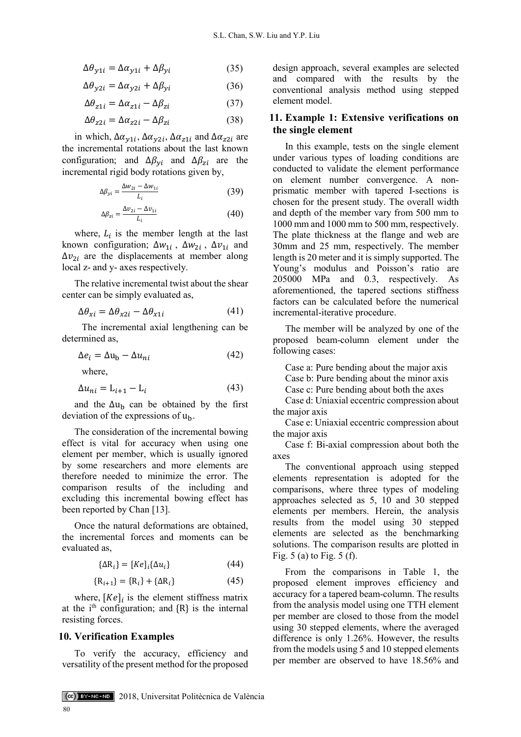$$
\Delta \theta_{y1i} = \Delta \alpha_{y1i} + \Delta \beta_{yi} \tag{35}
$$

$$
\Delta \theta_{y2i} = \Delta \alpha_{y2i} + \Delta \beta_{yi} \tag{36}
$$

$$
\Delta \theta_{z1i} = \Delta \alpha_{z1i} - \Delta \beta_{zi} \tag{37}
$$

$$
\Delta \theta_{z2i} = \Delta \alpha_{z2i} - \Delta \beta_{zi} \tag{38}
$$

in which,  $\Delta \alpha_{y1i}$ ,  $\Delta \alpha_{y2i}$ ,  $\Delta \alpha_{z1i}$  and  $\Delta \alpha_{z2i}$  are the incremental rotations about the last known configuration; and  $\Delta \beta_{\gamma i}$  and  $\Delta \beta_{zi}$  are the incremental rigid body rotations given by,

$$
\Delta \beta_{yi} = \frac{\Delta w_{2i} - \Delta w_{1i}}{L_i} \tag{39}
$$

$$
\Delta \beta_{zi} = \frac{\Delta v_{2i} - \Delta v_{1i}}{L_i} \tag{40}
$$

where,  $L_i$  is the member length at the last known configuration;  $\Delta w_{1i}$ ,  $\Delta w_{2i}$ ,  $\Delta v_{1i}$  and  $\Delta v_{2i}$  are the displacements at member along local z- and y- axes respectively.

The relative incremental twist about the shear center can be simply evaluated as,

$$
\Delta \theta_{xi} = \Delta \theta_{x2i} - \Delta \theta_{x1i} \tag{41}
$$

The incremental axial lengthening can be determined as,

$$
\Delta e_i = \Delta u_b - \Delta u_{ni} \tag{42}
$$

where,

$$
\Delta u_{ni} = \mathcal{L}_{i+1} - \mathcal{L}_i \tag{43}
$$

and the  $\Delta u_b$  can be obtained by the first deviation of the expressions of  $u<sub>b</sub>$ .

The consideration of the incremental bowing effect is vital for accuracy when using one element per member, which is usually ignored by some researchers and more elements are therefore needed to minimize the error. The comparison results of the including and excluding this incremental bowing effect has been reported by Chan [13].

Once the natural deformations are obtained, the incremental forces and moments can be evaluated as,

$$
\{\Delta R_i\} = [Ke]_i \{\Delta u_i\} \tag{44}
$$

$$
\{R_{i+1}\} = \{R_i\} + \{\Delta R_i\} \tag{45}
$$

where,  $[Ke]_i$  is the element stiffness matrix at the i<sup>th</sup> configuration; and  ${R}$  is the internal resisting forces.

### **10. Verification Examples**

To verify the accuracy, efficiency and versatility of the present method for the proposed

design approach, several examples are selected and compared with the results by the conventional analysis method using stepped element model.

## **11. Example 1: Extensive verifications on the single element**

In this example, tests on the single element under various types of loading conditions are conducted to validate the element performance on element number convergence. A nonprismatic member with tapered I-sections is chosen for the present study. The overall width and depth of the member vary from 500 mm to 1000 mm and 1000 mm to 500 mm, respectively. The plate thickness at the flange and web are 30mm and 25 mm, respectively. The member length is 20 meter and it is simply supported. The Young's modulus and Poisson's ratio are 205000 MPa and 0.3, respectively. As aforementioned, the tapered sections stiffness factors can be calculated before the numerical incremental-iterative procedure.

The member will be analyzed by one of the proposed beam-column element under the following cases:

Case a: Pure bending about the major axis

Case b: Pure bending about the minor axis

Case c: Pure bending about both the axes

Case d: Uniaxial eccentric compression about the major axis

Case e: Uniaxial eccentric compression about the major axis

Case f: Bi-axial compression about both the axes

The conventional approach using stepped elements representation is adopted for the comparisons, where three types of modeling approaches selected as 5, 10 and 30 stepped elements per members. Herein, the analysis results from the model using 30 stepped elements are selected as the benchmarking solutions. The comparison results are plotted in Fig. 5 (a) to Fig. 5 (f).

From the comparisons in Table 1, the proposed element improves efficiency and accuracy for a tapered beam-column. The results from the analysis model using one TTH element per member are closed to those from the model using 30 stepped elements, where the averaged difference is only 1.26%. However, the results from the models using 5 and 10 stepped elements per member are observed to have 18.56% and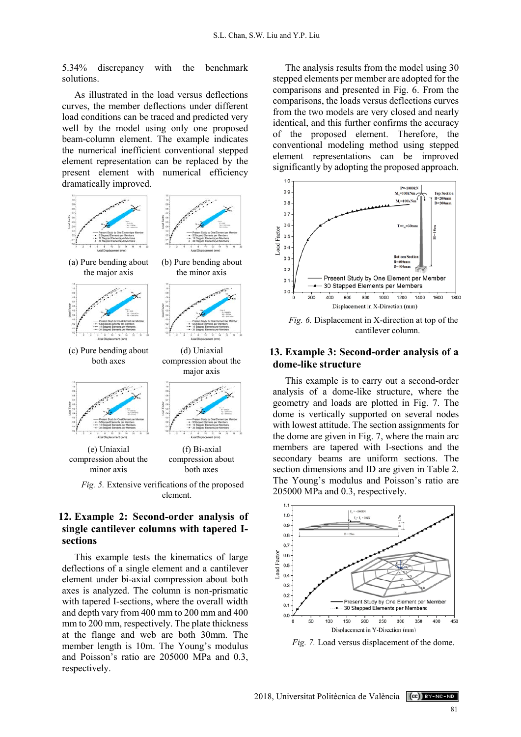5.34% discrepancy with the benchmark solutions.

As illustrated in the load versus deflections curves, the member deflections under different load conditions can be traced and predicted very well by the model using only one proposed beam-column element. The example indicates the numerical inefficient conventional stepped element representation can be replaced by the present element with numerical efficiency dramatically improved.



# **12. Example 2: Second-order analysis of single cantilever columns with tapered Isections**

This example tests the kinematics of large deflections of a single element and a cantilever element under bi-axial compression about both axes is analyzed. The column is non-prismatic with tapered I-sections, where the overall width and depth vary from 400 mm to 200 mm and 400 mm to 200 mm, respectively. The plate thickness at the flange and web are both 30mm. The member length is 10m. The Young's modulus and Poisson's ratio are 205000 MPa and 0.3, respectively.

The analysis results from the model using 30 stepped elements per member are adopted for the comparisons and presented in Fig. 6. From the comparisons, the loads versus deflections curves from the two models are very closed and nearly identical, and this further confirms the accuracy of the proposed element. Therefore, the conventional modeling method using stepped element representations can be improved significantly by adopting the proposed approach.



*Fig. 6.* Displacement in X-direction at top of the cantilever column.

# **13. Example 3: Second-order analysis of a dome-like structure**

This example is to carry out a second-order analysis of a dome-like structure, where the geometry and loads are plotted in Fig. 7. The dome is vertically supported on several nodes with lowest attitude. The section assignments for the dome are given in Fig. 7, where the main arc members are tapered with I-sections and the secondary beams are uniform sections. The section dimensions and ID are given in Table 2. The Young's modulus and Poisson's ratio are 205000 MPa and 0.3, respectively.



*Fig. 7.* Load versus displacement of the dome.